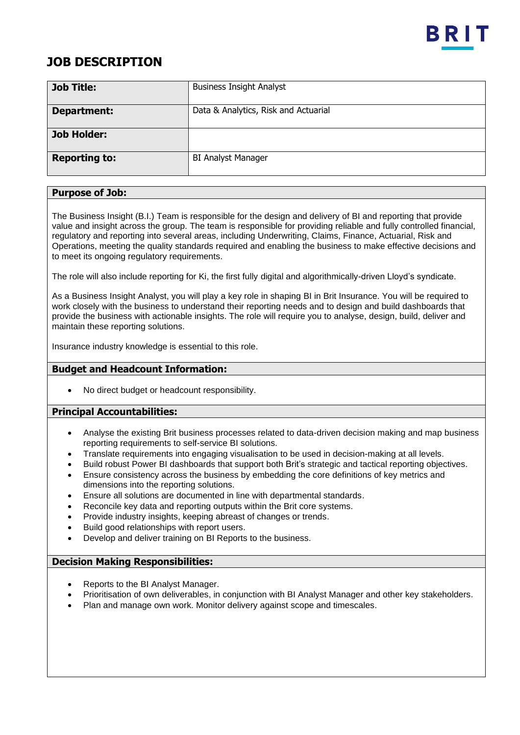

# **JOB DESCRIPTION**

| <b>Job Title:</b>    | <b>Business Insight Analyst</b>      |
|----------------------|--------------------------------------|
| <b>Department:</b>   | Data & Analytics, Risk and Actuarial |
| Job Holder:          |                                      |
| <b>Reporting to:</b> | <b>BI Analyst Manager</b>            |

# **Purpose of Job:**

The Business Insight (B.I.) Team is responsible for the design and delivery of BI and reporting that provide value and insight across the group. The team is responsible for providing reliable and fully controlled financial, regulatory and reporting into several areas, including Underwriting, Claims, Finance, Actuarial, Risk and Operations, meeting the quality standards required and enabling the business to make effective decisions and to meet its ongoing regulatory requirements.

The role will also include reporting for Ki, the first fully digital and algorithmically-driven Lloyd's syndicate.

As a Business Insight Analyst, you will play a key role in shaping BI in Brit Insurance. You will be required to work closely with the business to understand their reporting needs and to design and build dashboards that provide the business with actionable insights. The role will require you to analyse, design, build, deliver and maintain these reporting solutions.

Insurance industry knowledge is essential to this role.

## **Budget and Headcount Information:**

• No direct budget or headcount responsibility.

## **Principal Accountabilities:**

- Analyse the existing Brit business processes related to data-driven decision making and map business reporting requirements to self-service BI solutions.
- Translate requirements into engaging visualisation to be used in decision-making at all levels.
- Build robust Power BI dashboards that support both Brit's strategic and tactical reporting objectives.
- Ensure consistency across the business by embedding the core definitions of key metrics and dimensions into the reporting solutions.
- Ensure all solutions are documented in line with departmental standards.
- Reconcile key data and reporting outputs within the Brit core systems.
- Provide industry insights, keeping abreast of changes or trends.
- Build good relationships with report users.
- Develop and deliver training on BI Reports to the business.

# **Decision Making Responsibilities:**

- Reports to the BI Analyst Manager.
- Prioritisation of own deliverables, in conjunction with BI Analyst Manager and other key stakeholders.
- Plan and manage own work. Monitor delivery against scope and timescales.